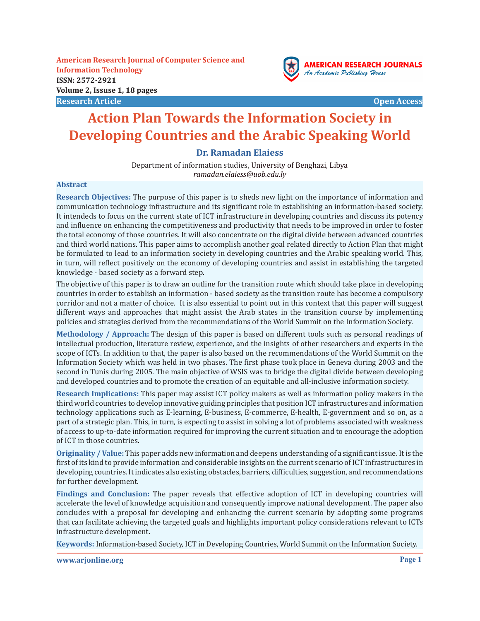**American Research Journal of Computer Science and Information Technology ISSN: 2572-2921 Volume 2, Issuse 1, 18 pages Research Article Open Access**



# **Action Plan Towards the Information Society in Developing Countries and the Arabic Speaking World**

## **Dr. Ramadan Elaiess**

Department of information studies, University of Benghazi, Libya *ramadan.elaiess@uob.edu.ly*

#### **Abstract**

**Research Objectives:** The purpose of this paper is to sheds new light on the importance of information and communication technology infrastructure and its significant role in establishing an information-based society. It intendeds to focus on the current state of ICT infrastructure in developing countries and discuss its potency and influence on enhancing the competitiveness and productivity that needs to be improved in order to foster the total economy of those countries. It will also concentrate on the digital divide between advanced countries and third world nations. This paper aims to accomplish another goal related directly to Action Plan that might be formulated to lead to an information society in developing countries and the Arabic speaking world. This, in turn, will reflect positively on the economy of developing countries and assist in establishing the targeted knowledge - based society as a forward step.

The objective of this paper is to draw an outline for the transition route which should take place in developing countries in order to establish an information - based society as the transition route has become a compulsory corridor and not a matter of choice. It is also essential to point out in this context that this paper will suggest different ways and approaches that might assist the Arab states in the transition course by implementing policies and strategies derived from the recommendations of the World Summit on the Information Society.

**Methodology / Approach:** The design of this paper is based on different tools such as personal readings of intellectual production, literature review, experience, and the insights of other researchers and experts in the scope of ICTs. In addition to that, the paper is also based on the recommendations of the World Summit on the Information Society which was held in two phases. The first phase took place in Geneva during 2003 and the second in Tunis during 2005. The main objective of WSIS was to bridge the digital divide between developing and developed countries and to promote the creation of an equitable and all-inclusive information society.

**Research Implications:** This paper may assist ICT policy makers as well as information policy makers in the third world countries to develop innovative guiding principles that position ICT infrastructures and information technology applications such as E-learning, E-business, E-commerce, E-health, E-government and so on, as a part of a strategic plan. This, in turn, is expecting to assist in solving a lot of problems associated with weakness of access to up-to-date information required for improving the current situation and to encourage the adoption of ICT in those countries.

**Originality / Value:** This paper adds new information and deepens understanding of a significant issue. It is the first of its kind to provide information and considerable insights on the current scenario of ICT infrastructures in developing countries. It indicates also existing obstacles, barriers, difficulties, suggestion, and recommendations for further development.

**Findings and Conclusion:** The paper reveals that effective adoption of ICT in developing countries will accelerate the level of knowledge acquisition and consequently improve national development. The paper also concludes with a proposal for developing and enhancing the current scenario by adopting some programs that can facilitate achieving the targeted goals and highlights important policy considerations relevant to ICTs infrastructure development.

**Keywords:** Information-based Society, ICT in Developing Countries, World Summit on the Information Society.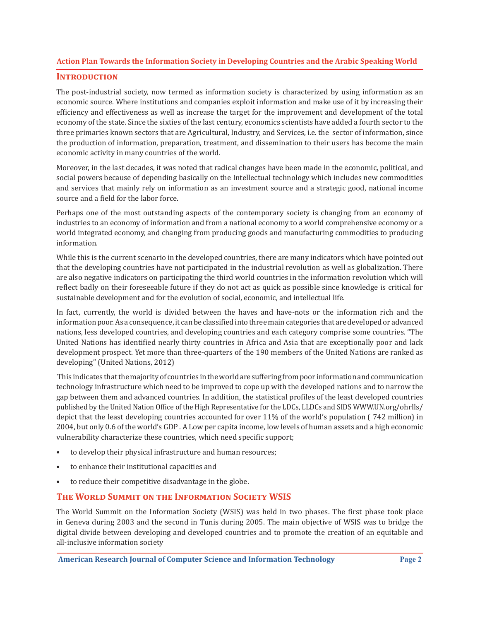#### **Introduction**

The post-industrial society, now termed as information society is characterized by using information as an economic source. Where institutions and companies exploit information and make use of it by increasing their efficiency and effectiveness as well as increase the target for the improvement and development of the total economy of the state. Since the sixties of the last century, economics scientists have added a fourth sector to the three primaries known sectors that are Agricultural, Industry, and Services, i.e. the sector of information, since the production of information, preparation, treatment, and dissemination to their users has become the main economic activity in many countries of the world.

Moreover, in the last decades, it was noted that radical changes have been made in the economic, political, and social powers because of depending basically on the Intellectual technology which includes new commodities and services that mainly rely on information as an investment source and a strategic good, national income source and a field for the labor force.

Perhaps one of the most outstanding aspects of the contemporary society is changing from an economy of industries to an economy of information and from a national economy to a world comprehensive economy or a world integrated economy, and changing from producing goods and manufacturing commodities to producing information.

While this is the current scenario in the developed countries, there are many indicators which have pointed out that the developing countries have not participated in the industrial revolution as well as globalization. There are also negative indicators on participating the third world countries in the information revolution which will reflect badly on their foreseeable future if they do not act as quick as possible since knowledge is critical for sustainable development and for the evolution of social, economic, and intellectual life.

In fact, currently, the world is divided between the haves and have-nots or the information rich and the information poor. As a consequence, it can be classified into three main categories that are developed or advanced nations, less developed countries, and developing countries and each category comprise some countries. "The United Nations has identified nearly thirty countries in Africa and Asia that are exceptionally poor and lack development prospect. Yet more than three-quarters of the 190 members of the United Nations are ranked as developing" (United Nations, 2012)

This indicates that the majority of countries in the world are suffering from poor information and communication technology infrastructure which need to be improved to cope up with the developed nations and to narrow the gap between them and advanced countries. In addition, the statistical profiles of the least developed countries published by the United Nation Office of the High Representative for the LDCs, LLDCs and SIDS WWW.UN.org/ohrlls/ depict that the least developing countries accounted for over 11% of the world's population ( 742 million) in 2004, but only 0.6 of the world's GDP . A Low per capita income, low levels of human assets and a high economic vulnerability characterize these countries, which need specific support;

- to develop their physical infrastructure and human resources;
- to enhance their institutional capacities and
- to reduce their competitive disadvantage in the globe.

## **The World Summit on the Information Society WSIS**

The World Summit on the Information Society (WSIS) was held in two phases. The first phase took place in Geneva during 2003 and the second in Tunis during 2005. The main objective of WSIS was to bridge the digital divide between developing and developed countries and to promote the creation of an equitable and all-inclusive information society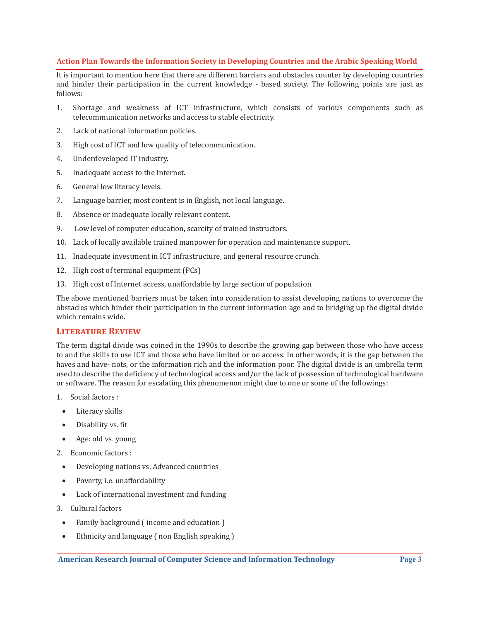It is important to mention here that there are different barriers and obstacles counter by developing countries and hinder their participation in the current knowledge - based society. The following points are just as follows:

- 1. Shortage and weakness of ICT infrastructure, which consists of various components such as telecommunication networks and access to stable electricity.
- 2. Lack of national information policies.
- 3. High cost of ICT and low quality of telecommunication.
- 4. Underdeveloped IT industry.
- 5. Inadequate access to the Internet.
- 6. General low literacy levels.
- 7. Language barrier, most content is in English, not local language.
- 8. Absence or inadequate locally relevant content.
- 9. Low level of computer education, scarcity of trained instructors.
- 10. Lack of locally available trained manpower for operation and maintenance support.
- 11. Inadequate investment in ICT infrastructure, and general resource crunch.
- 12. High cost of terminal equipment (PCs)
- 13. High cost of Internet access, unaffordable by large section of population.

The above mentioned barriers must be taken into consideration to assist developing nations to overcome the obstacles which hinder their participation in the current information age and to bridging up the digital divide which remains wide.

## **Literature Review**

The term digital divide was coined in the 1990s to describe the growing gap between those who have access to and the skills to use ICT and those who have limited or no access. In other words, it is the gap between the haves and have- nots, or the information rich and the information poor. The digital divide is an umbrella term used to describe the deficiency of technological access and/or the lack of possession of technological hardware or software. The reason for escalating this phenomenon might due to one or some of the followings:

- 1. Social factors :
- Literacy skills
- • Disability vs. fit
- Age: old vs. young
- 2. Economic factors :
- • Developing nations vs. Advanced countries
- Poverty, i.e. unaffordability
- Lack of international investment and funding
- 3. Cultural factors
	- Family background (income and education)
- Ethnicity and language (non English speaking)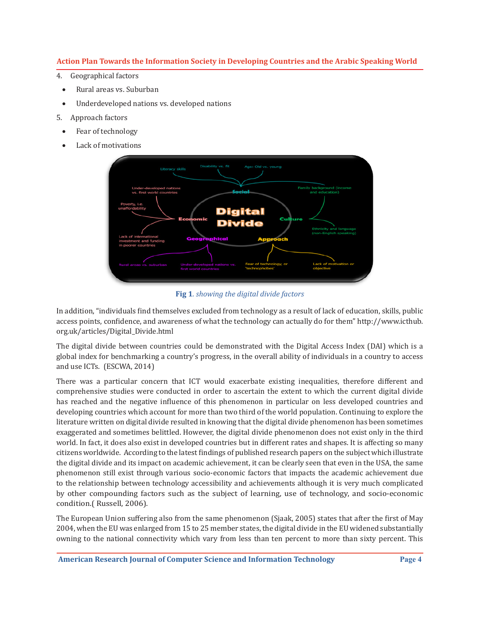- 4. Geographical factors
- Rural areas vs. Suburban
- • Underdeveloped nations vs. developed nations
- 5. Approach factors
	- Fear of technology
	- Lack of motivations



**Fig 1***. showing the digital divide factors*

In addition, "individuals find themselves excluded from technology as a result of lack of education, skills, public access points, confidence, and awareness of what the technology can actually do for them" http://www.icthub. org.uk/articles/Digital\_Divide.html

The digital divide between countries could be demonstrated with the Digital Access Index (DAI) which is a global index for benchmarking a country's progress, in the overall ability of individuals in a country to access and use ICTs. (ESCWA, 2014)

There was a particular concern that ICT would exacerbate existing inequalities, therefore different and comprehensive studies were conducted in order to ascertain the extent to which the current digital divide has reached and the negative influence of this phenomenon in particular on less developed countries and developing countries which account for more than two third of the world population. Continuing to explore the literature written on digital divide resulted in knowing that the digital divide phenomenon has been sometimes exaggerated and sometimes belittled. However, the digital divide phenomenon does not exist only in the third world. In fact, it does also exist in developed countries but in different rates and shapes. It is affecting so many citizens worldwide. According to the latest findings of published research papers on the subject which illustrate the digital divide and its impact on academic achievement, it can be clearly seen that even in the USA, the same phenomenon still exist through various socio-economic factors that impacts the academic achievement due to the relationship between technology accessibility and achievements although it is very much complicated by other compounding factors such as the subject of learning, use of technology, and socio-economic condition.( Russell, 2006).

The European Union suffering also from the same phenomenon (Sjaak, 2005) states that after the first of May 2004, when the EU was enlarged from 15 to 25 member states, the digital divide in the EU widened substantially owning to the national connectivity which vary from less than ten percent to more than sixty percent. This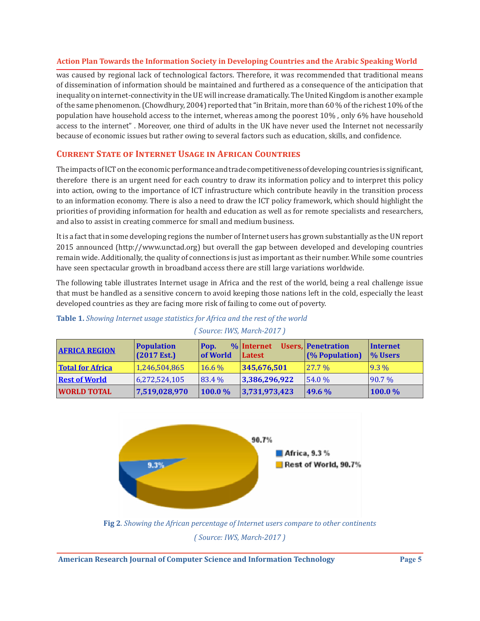was caused by regional lack of technological factors. Therefore, it was recommended that traditional means of dissemination of information should be maintained and furthered as a consequence of the anticipation that inequality on internet-connectivity in the UE will increase dramatically. The United Kingdom is another example of the same phenomenon. (Chowdhury, 2004) reported that "in Britain, more than 60 % of the richest 10% of the population have household access to the internet, whereas among the poorest 10% , only 6% have household access to the internet" . Moreover, one third of adults in the UK have never used the Internet not necessarily because of economic issues but rather owing to several factors such as education, skills, and confidence.

## **Current State of Internet Usage in African Countries**

The impacts of ICT on the economic performance and trade competitiveness of developing countries is significant, therefore there is an urgent need for each country to draw its information policy and to interpret this policy into action, owing to the importance of ICT infrastructure which contribute heavily in the transition process to an information economy. There is also a need to draw the ICT policy framework, which should highlight the priorities of providing information for health and education as well as for remote specialists and researchers, and also to assist in creating commerce for small and medium business.

It is a fact that in some developing regions the number of Internet users has grown substantially as the UN report 2015 announced (http://www.unctad.org) but overall the gap between developed and developing countries remain wide. Additionally, the quality of connections is just as important as their number. While some countries have seen spectacular growth in broadband access there are still large variations worldwide.

The following table illustrates Internet usage in Africa and the rest of the world, being a real challenge issue that must be handled as a sensitive concern to avoid keeping those nations left in the cold, especially the least developed countries as they are facing more risk of failing to come out of poverty.

| <b>AFRICA REGION</b>    | <b>Population</b><br>$(2017 \text{ Est.})$ | Pop.<br><b>of World</b> | $\%$ Internet<br>Latest | Users, Penetration<br>(% Population) | Internet<br><b>% Users</b> |
|-------------------------|--------------------------------------------|-------------------------|-------------------------|--------------------------------------|----------------------------|
| <b>Total for Africa</b> | 1,246,504,865                              | $16.6\%$                | 345,676,501             | $127.7\%$                            | $9.3\%$                    |
| <b>Rest of World</b>    | 6,272,524,105                              | 83.4 %                  | 3,386,296,922           | 154.0%                               | $ 90.7\%$                  |
| <b>WORLD TOTAL</b>      | 7,519,028,970                              | $100.0\%$               | 3,731,973,423           | $149.6\%$                            | 100.0%                     |

*( Source: IWS, March-2017 )*

## **Table 1.** *Showing Internet usage statistics for Africa and the rest of the world*



*( Source: IWS, March-2017 )*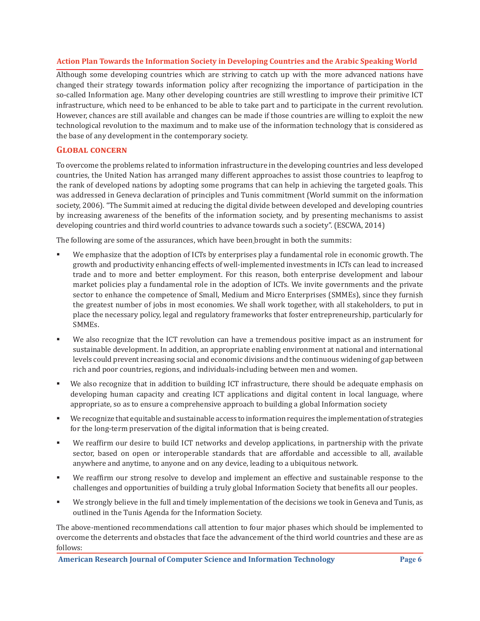Although some developing countries which are striving to catch up with the more advanced nations have changed their strategy towards information policy after recognizing the importance of participation in the so-called Information age. Many other developing countries are still wrestling to improve their primitive ICT infrastructure, which need to be enhanced to be able to take part and to participate in the current revolution. However, chances are still available and changes can be made if those countries are willing to exploit the new technological revolution to the maximum and to make use of the information technology that is considered as the base of any development in the contemporary society.

## **Global concern**

To overcome the problems related to information infrastructure in the developing countries and less developed countries, the United Nation has arranged many different approaches to assist those countries to leapfrog to the rank of developed nations by adopting some programs that can help in achieving the targeted goals. This was addressed in Geneva declaration of principles and Tunis commitment (World summit on the information society, 2006)*.* "The Summit aimed at reducing the digital divide between developed and developing countries by increasing awareness of the benefits of the information society, and by presenting mechanisms to assist developing countries and third world countries to advance towards such a society". (ESCWA, 2014)

The following are some of the assurances, which have been brought in both the summits:

- We emphasize that the adoption of ICTs by enterprises play a fundamental role in economic growth. The growth and productivity enhancing effects of well-implemented investments in ICTs can lead to increased trade and to more and better employment. For this reason, both enterprise development and labour market policies play a fundamental role in the adoption of ICTs. We invite governments and the private sector to enhance the competence of Small, Medium and Micro Enterprises (SMMEs), since they furnish the greatest number of jobs in most economies. We shall work together, with all stakeholders, to put in place the necessary policy, legal and regulatory frameworks that foster entrepreneurship, particularly for SMMEs.
- We also recognize that the ICT revolution can have a tremendous positive impact as an instrument for sustainable development. In addition, an appropriate enabling environment at national and international levels could prevent increasing social and economic divisions and the continuous widening of gap between rich and poor countries, regions, and individuals-including between men and women.
- We also recognize that in addition to building ICT infrastructure, there should be adequate emphasis on developing human capacity and creating ICT applications and digital content in local language, where appropriate, so as to ensure a comprehensive approach to building a global Information society
- We recognize that equitable and sustainable access to information requires the implementation of strategies for the long-term preservation of the digital information that is being created.
- We reaffirm our desire to build ICT networks and develop applications, in partnership with the private sector, based on open or interoperable standards that are affordable and accessible to all, available anywhere and anytime, to anyone and on any device, leading to a ubiquitous network.
- We reaffirm our strong resolve to develop and implement an effective and sustainable response to the challenges and opportunities of building a truly global Information Society that benefits all our peoples.
- We strongly believe in the full and timely implementation of the decisions we took in Geneva and Tunis, as outlined in the Tunis Agenda for the Information Society.

The above-mentioned recommendations call attention to four major phases which should be implemented to overcome the deterrents and obstacles that face the advancement of the third world countries and these are as follows: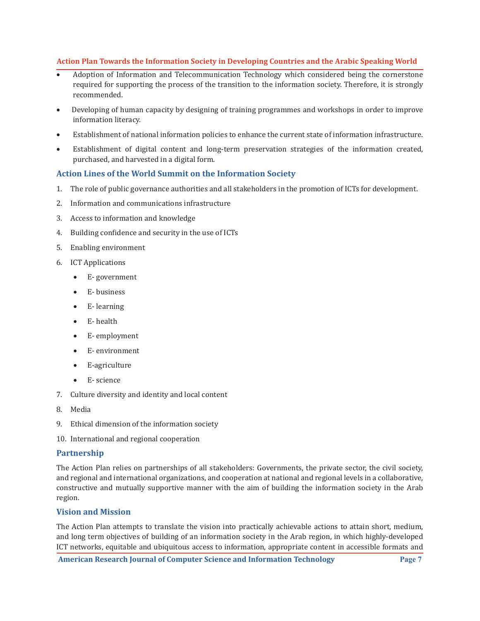- Adoption of Information and Telecommunication Technology which considered being the cornerstone required for supporting the process of the transition to the information society. Therefore, it is strongly recommended.
- Developing of human capacity by designing of training programmes and workshops in order to improve information literacy.
- Establishment of national information policies to enhance the current state of information infrastructure.
- Establishment of digital content and long-term preservation strategies of the information created, purchased, and harvested in a digital form.

## **Action Lines of the World Summit on the Information Society**

- 1. The role of public governance authorities and all stakeholders in the promotion of ICTs for development.
- 2. Information and communications infrastructure
- 3. Access to information and knowledge
- 4. Building confidence and security in the use of ICTs
- 5. Enabling environment
- 6. ICT Applications
	- • E- government
	- • E- business
	- • E- learning
	- • E- health
	- • E- employment
	- • E- environment
	- • E-agriculture
	- • E- science
- 7. Culture diversity and identity and local content
- 8. Media
- 9. Ethical dimension of the information society
- 10. International and regional cooperation

## **Partnership**

The Action Plan relies on partnerships of all stakeholders: Governments, the private sector, the civil society, and regional and international organizations, and cooperation at national and regional levels in a collaborative, constructive and mutually supportive manner with the aim of building the information society in the Arab region.

## **Vision and Mission**

The Action Plan attempts to translate the vision into practically achievable actions to attain short, medium, and long term objectives of building of an information society in the Arab region, in which highly-developed ICT networks, equitable and ubiquitous access to information, appropriate content in accessible formats and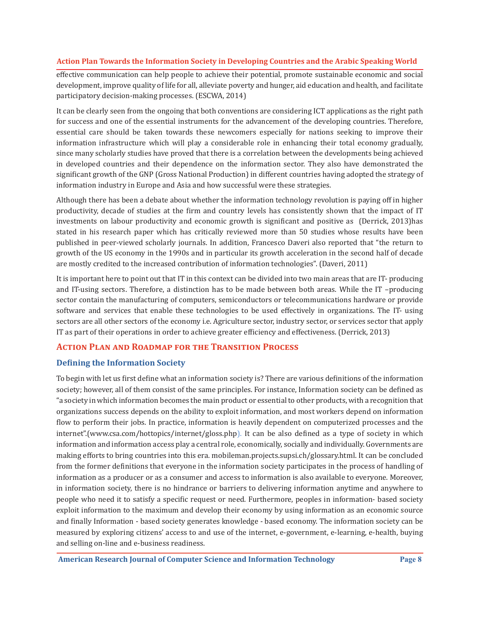effective communication can help people to achieve their potential, promote sustainable economic and social development, improve quality of life for all, alleviate poverty and hunger, aid education and health, and facilitate participatory decision-making processes. (ESCWA, 2014)

It can be clearly seen from the ongoing that both conventions are considering ICT applications as the right path for success and one of the essential instruments for the advancement of the developing countries. Therefore, essential care should be taken towards these newcomers especially for nations seeking to improve their information infrastructure which will play a considerable role in enhancing their total economy gradually, since many scholarly studies have proved that there is a correlation between the developments being achieved in developed countries and their dependence on the information sector. They also have demonstrated the significant growth of the GNP (Gross National Production) in different countries having adopted the strategy of information industry in Europe and Asia and how successful were these strategies.

Although there has been a debate about whether the information technology revolution is paying off in higher productivity, decade of studies at the firm and country levels has consistently shown that the impact of IT investments on labour productivity and economic growth is significant and positive as (Derrick, 2013)has stated in his research paper which has critically reviewed more than 50 studies whose results have been published in peer-viewed scholarly journals. In addition, Francesco Daveri also reported that "the return to growth of the US economy in the 1990s and in particular its growth acceleration in the second half of decade are mostly credited to the increased contribution of information technologies". (Daveri, 2011)

It is important here to point out that IT in this context can be divided into two main areas that are IT- producing and IT-using sectors. Therefore, a distinction has to be made between both areas. While the IT –producing sector contain the manufacturing of computers, semiconductors or telecommunications hardware or provide software and services that enable these technologies to be used effectively in organizations. The IT- using sectors are all other sectors of the economy i.e. Agriculture sector, industry sector, or services sector that apply IT as part of their operations in order to achieve greater efficiency and effectiveness. (Derrick, 2013)

## **Action Plan and Roadmap for the Transition Process**

## **Defining the Information Society**

To begin with let us first define what an information society is? There are various definitions of the information society; however, all of them consist of the same principles. For instance, Information society can be defined as "a society in which information becomes the main product or essential to other products, with a recognition that organizations success depends on the ability to exploit information, and most workers depend on information flow to perform their jobs. In practice, information is heavily dependent on computerized processes and the internet".(www.csa.com/hottopics/internet/gloss.php). It can be also defined as a type of society in which information and information access play a central role, economically, socially and individually. Governments are making efforts to bring countries into this era. mobileman.projects.supsi.ch/glossary.html. It can be concluded from the former definitions that everyone in the information society participates in the process of handling of information as a producer or as a consumer and access to information is also available to everyone. Moreover, in information society, there is no hindrance or barriers to delivering information anytime and anywhere to people who need it to satisfy a specific request or need. Furthermore, peoples in information- based society exploit information to the maximum and develop their economy by using information as an economic source and finally Information - based society generates knowledge - based economy. The information society can be measured by exploring citizens' access to and use of the internet, e-government, e-learning, e-health, buying and selling on-line and e-business readiness.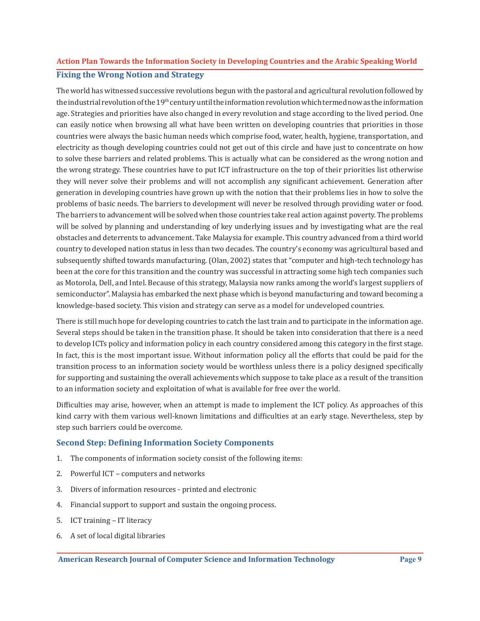## **Fixing the Wrong Notion and Strategy Action Plan Towards the Information Society in Developing Countries and the Arabic Speaking World**

The world has witnessed successive revolutions begun with the pastoral and agricultural revolution followed by the industrial revolution of the  $19<sup>th</sup>$  century until the information revolution which termed now as the information age. Strategies and priorities have also changed in every revolution and stage according to the lived period. One can easily notice when browsing all what have been written on developing countries that priorities in those countries were always the basic human needs which comprise food, water, health, hygiene, transportation, and electricity as though developing countries could not get out of this circle and have just to concentrate on how to solve these barriers and related problems. This is actually what can be considered as the wrong notion and the wrong strategy. These countries have to put ICT infrastructure on the top of their priorities list otherwise they will never solve their problems and will not accomplish any significant achievement. Generation after generation in developing countries have grown up with the notion that their problems lies in how to solve the problems of basic needs. The barriers to development will never be resolved through providing water or food. The barriers to advancement will be solved when those countries take real action against poverty. The problems will be solved by planning and understanding of key underlying issues and by investigating what are the real obstacles and deterrents to advancement. Take Malaysia for example. This country advanced from a third world country to developed nation status in less than two decades. The country's economy was agricultural based and subsequently shifted towards manufacturing. (Olan, 2002) states that "computer and high-tech technology has been at the core for this transition and the country was successful in attracting some high tech companies such as Motorola, Dell, and Intel. Because of this strategy, Malaysia now ranks among the world's largest suppliers of semiconductor". Malaysia has embarked the next phase which is beyond manufacturing and toward becoming a knowledge-based society. This vision and strategy can serve as a model for undeveloped countries.

There is still much hope for developing countries to catch the last train and to participate in the information age. Several steps should be taken in the transition phase. It should be taken into consideration that there is a need to develop ICTs policy and information policy in each country considered among this category in the first stage. In fact, this is the most important issue. Without information policy all the efforts that could be paid for the transition process to an information society would be worthless unless there is a policy designed specifically for supporting and sustaining the overall achievements which suppose to take place as a result of the transition to an information society and exploitation of what is available for free over the world.

Difficulties may arise, however, when an attempt is made to implement the ICT policy. As approaches of this kind carry with them various well-known limitations and difficulties at an early stage. Nevertheless, step by step such barriers could be overcome.

## **Second Step: Defining Information Society Components**

- 1. The components of information society consist of the following items:
- 2. Powerful ICT computers and networks
- 3. Divers of information resources printed and electronic
- 4. Financial support to support and sustain the ongoing process.
- 5. ICT training IT literacy
- 6. A set of local digital libraries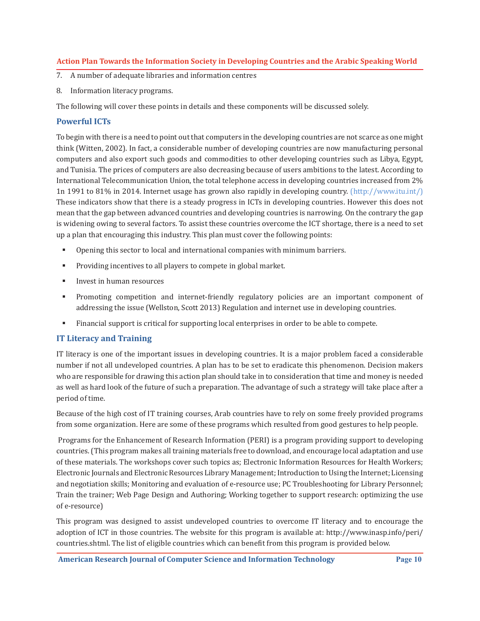- 7. A number of adequate libraries and information centres
- 8. Information literacy programs.

The following will cover these points in details and these components will be discussed solely.

## **Powerful ICTs**

To begin with there is a need to point out that computers in the developing countries are not scarce as one might think (Witten, 2002). In fact, a considerable number of developing countries are now manufacturing personal computers and also export such goods and commodities to other developing countries such as Libya, Egypt, and Tunisia. The prices of computers are also decreasing because of users ambitions to the latest. According to International Telecommunication Union, the total telephone access in developing countries increased from 2% 1n 1991 to 81% in 2014. Internet usage has grown also rapidly in developing country. (http://www.itu.int/) These indicators show that there is a steady progress in ICTs in developing countries. However this does not mean that the gap between advanced countries and developing countries is narrowing. On the contrary the gap is widening owing to several factors. To assist these countries overcome the ICT shortage, there is a need to set up a plan that encouraging this industry. This plan must cover the following points:

- Opening this sector to local and international companies with minimum barriers.
- **Providing incentives to all players to compete in global market.**
- **Invest in human resources**
- Promoting competition and internet-friendly regulatory policies are an important component of addressing the issue (Wellston, Scott 2013) Regulation and internet use in developing countries.
- Financial support is critical for supporting local enterprises in order to be able to compete.

## **IT Literacy and Training**

IT literacy is one of the important issues in developing countries. It is a major problem faced a considerable number if not all undeveloped countries. A plan has to be set to eradicate this phenomenon. Decision makers who are responsible for drawing this action plan should take in to consideration that time and money is needed as well as hard look of the future of such a preparation. The advantage of such a strategy will take place after a period of time.

Because of the high cost of IT training courses, Arab countries have to rely on some freely provided programs from some organization. Here are some of these programs which resulted from good gestures to help people.

 Programs for the Enhancement of Research Information (PERI) is a program providing support to developing countries. (This program makes all training materials free to download, and encourage local adaptation and use of these materials. The workshops cover such topics as; Electronic Information Resources for Health Workers; Electronic Journals and Electronic Resources Library Management; Introduction to Using the Internet; Licensing and negotiation skills; Monitoring and evaluation of e-resource use; PC Troubleshooting for Library Personnel; Train the trainer; Web Page Design and Authoring; Working together to support research: optimizing the use of e-resource)

This program was designed to assist undeveloped countries to overcome IT literacy and to encourage the adoption of ICT in those countries. The website for this program is available at: http://www.inasp.info/peri/ countries.shtml. The list of eligible countries which can benefit from this program is provided below.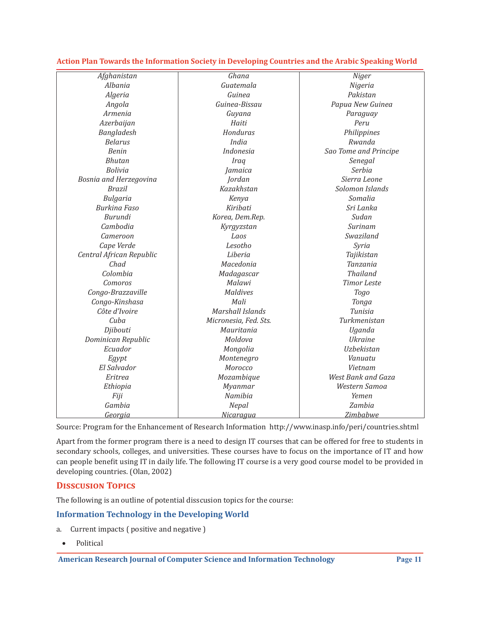| Afghanistan              | Ghana                 | <b>Niger</b>          |  |
|--------------------------|-----------------------|-----------------------|--|
| Albania                  | Guatemala             | Nigeria               |  |
| Algeria                  | Guinea                | Pakistan              |  |
| Angola                   | Guinea-Bissau         | Papua New Guinea      |  |
| Armenia                  | Guyana                | Paraguay              |  |
| Azerbaijan               | Haiti                 | Peru                  |  |
| Bangladesh               | Honduras              | Philippines           |  |
| <b>Belarus</b>           | India                 | Rwanda                |  |
| <b>Benin</b>             | Indonesia             | Sao Tome and Principe |  |
| <b>Bhutan</b>            | <b>Iraq</b>           | Senegal               |  |
| <b>Bolivia</b>           | Jamaica               | Serbia                |  |
| Bosnia and Herzegovina   | Jordan                | Sierra Leone          |  |
| <b>Brazil</b>            | Kazakhstan            | Solomon Islands       |  |
| Bulgaria                 | Kenya                 | Somalia               |  |
| <b>Burkina Faso</b>      | Kiribati              | Sri Lanka             |  |
| Burundi                  | Korea, Dem.Rep.       | Sudan                 |  |
| Cambodia                 | Kyrgyzstan            | Surinam               |  |
| Cameroon                 | Laos                  | Swaziland             |  |
| Cape Verde               | Lesotho               | Syria                 |  |
| Central African Republic | Liberia               | Tajikistan            |  |
| Chad                     | Macedonia             | Tanzania              |  |
| Colombia                 | Madagascar            | <b>Thailand</b>       |  |
| Comoros                  | Malawi                | <b>Timor Leste</b>    |  |
| Congo-Brazzaville        | <b>Maldives</b>       | Togo                  |  |
| Congo-Kinshasa           | Mali                  | Tonga                 |  |
| Côte d'Ivoire            | Marshall Islands      | Tunisia               |  |
| Cuba                     | Micronesia, Fed. Sts. | Turkmenistan          |  |
| Djibouti                 | Mauritania            | Uganda                |  |
| Dominican Republic       | Moldova               | <b>Ukraine</b>        |  |
| Ecuador                  | Mongolia              | Uzbekistan            |  |
| Egypt                    | Montenegro            | Vanuatu               |  |
| El Salvador              | Morocco               | Vietnam               |  |
| Eritrea                  | Mozambique            | West Bank and Gaza    |  |
| Ethiopia                 | Myanmar               | Western Samoa         |  |
| Fiji                     | Namibia               | Yemen                 |  |
| Gambia                   | Nepal                 | Zambia                |  |
| <u>Georgia</u>           | <u>Nicaragua</u>      | <u>Zimbabwe</u>       |  |

Source: Program for the Enhancement of Research Information http://www.inasp.info/peri/countries.shtml

Apart from the former program there is a need to design IT courses that can be offered for free to students in secondary schools, colleges, and universities. These courses have to focus on the importance of IT and how can people benefit using IT in daily life. The following IT course is a very good course model to be provided in developing countries. (Olan, 2002)

## **Disscusion Topics**

The following is an outline of potential disscusion topics for the course:

## **Information Technology in the Developing World**

- a. Current impacts ( positive and negative )
	- • Political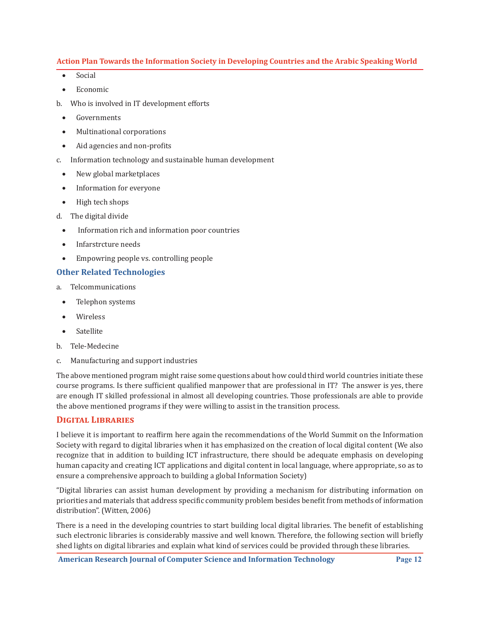- Social
- • Economic
- b. Who is involved in IT development efforts
- • Governments
- • Multinational corporations
- Aid agencies and non-profits
- c. Information technology and sustainable human development
	- New global marketplaces
	- Information for everyone
	- • High tech shops
- d. The digital divide
	- Information rich and information poor countries
	- Infarstrcture needs
	- • Empowring people vs. controlling people

## **Other Related Technologies**

- a. Telcommunications
- Telephon systems
- **Wireless**
- • Satellite
- b. Tele-Medecine
- c. Manufacturing and support industries

The above mentioned program might raise some questions about how could third world countries initiate these course programs. Is there sufficient qualified manpower that are professional in IT? The answer is yes, there are enough IT skilled professional in almost all developing countries. Those professionals are able to provide the above mentioned programs if they were willing to assist in the transition process.

#### **Digital Libraries**

I believe it is important to reaffirm here again the recommendations of the World Summit on the Information Society with regard to digital libraries when it has emphasized on the creation of local digital content (We also recognize that in addition to building ICT infrastructure, there should be adequate emphasis on developing human capacity and creating ICT applications and digital content in local language, where appropriate, so as to ensure a comprehensive approach to building a global Information Society)

"Digital libraries can assist human development by providing a mechanism for distributing information on priorities and materials that address specific community problem besides benefit from methods of information distribution". (Witten, 2006)

There is a need in the developing countries to start building local digital libraries. The benefit of establishing such electronic libraries is considerably massive and well known. Therefore, the following section will briefly shed lights on digital libraries and explain what kind of services could be provided through these libraries.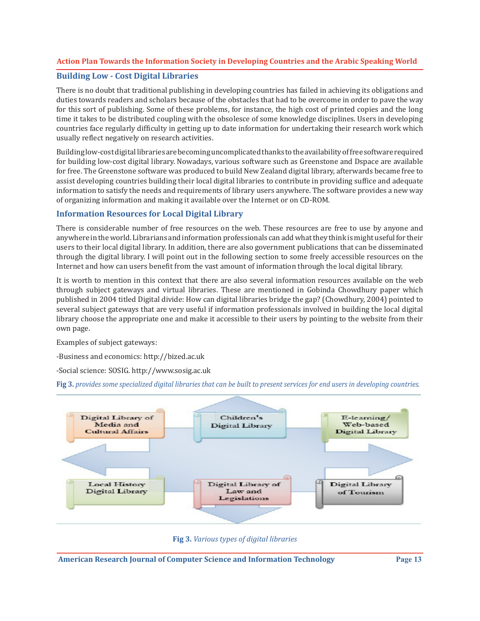## **Building Low - Cost Digital Libraries**

There is no doubt that traditional publishing in developing countries has failed in achieving its obligations and duties towards readers and scholars because of the obstacles that had to be overcome in order to pave the way for this sort of publishing. Some of these problems, for instance, the high cost of printed copies and the long time it takes to be distributed coupling with the obsolesce of some knowledge disciplines. Users in developing countries face regularly difficulty in getting up to date information for undertaking their research work which usually reflect negatively on research activities.

Building low-cost digital libraries are becoming uncomplicated thanks to the availability of free software required for building low-cost digital library. Nowadays, various software such as Greenstone and Dspace are available for free. The Greenstone software was produced to build New Zealand digital library, afterwards became free to assist developing countries building their local digital libraries to contribute in providing suffice and adequate information to satisfy the needs and requirements of library users anywhere. The software provides a new way of organizing information and making it available over the Internet or on CD-ROM.

## **Information Resources for Local Digital Library**

There is considerable number of free resources on the web. These resources are free to use by anyone and anywhere in the world. Librarians and information professionals can add what they think is might useful for their users to their local digital library. In addition, there are also government publications that can be disseminated through the digital library. I will point out in the following section to some freely accessible resources on the Internet and how can users benefit from the vast amount of information through the local digital library.

It is worth to mention in this context that there are also several information resources available on the web through subject gateways and virtual libraries. These are mentioned in Gobinda Chowdhury paper which published in 2004 titled Digital divide: How can digital libraries bridge the gap? (Chowdhury, 2004) pointed to several subject gateways that are very useful if information professionals involved in building the local digital library choose the appropriate one and make it accessible to their users by pointing to the website from their own page.

Examples of subject gateways:

-Business and economics: http://bized.ac.uk

-Social science: SOSIG. http://www.sosig.ac.uk

**Fig 3.** *provides some specialized digital libraries that can be built to present services for end users in developing countries.* 



**Fig 3.** *Various types of digital libraries*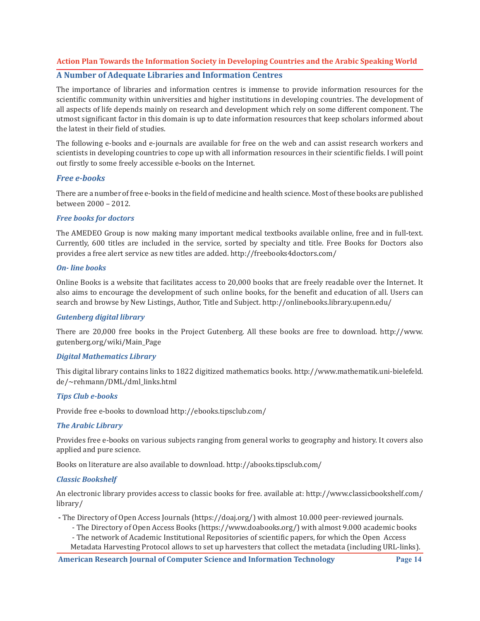#### **A Number of Adequate Libraries and Information Centres**

The importance of libraries and information centres is immense to provide information resources for the scientific community within universities and higher institutions in developing countries. The development of all aspects of life depends mainly on research and development which rely on some different component. The utmost significant factor in this domain is up to date information resources that keep scholars informed about the latest in their field of studies.

The following e-books and e-journals are available for free on the web and can assist research workers and scientists in developing countries to cope up with all information resources in their scientific fields. I will point out firstly to some freely accessible e-books on the Internet.

#### *Free e-books*

There are a number of free e-books in the field of medicine and health science. Most of these books are published between 2000 – 2012.

#### *Free books for doctors*

The AMEDEO Group is now making many important medical textbooks available online, free and in full-text. Currently, 600 titles are included in the service, sorted by specialty and title. Free Books for Doctors also provides a free alert service as new titles are added. http://freebooks4doctors.com/

#### *On- line books*

Online Books is a website that facilitates access to 20,000 books that are freely readable over the Internet. It also aims to encourage the development of such online books, for the benefit and education of all. Users can search and browse by New Listings, Author, Title and Subject. http://onlinebooks.library.upenn.edu/

#### *Gutenberg digital library*

There are 20,000 free books in the Project Gutenberg. All these books are free to download. http://www. gutenberg.org/wiki/Main\_Page

#### *Digital Mathematics Library*

This digital library contains links to 1822 digitized mathematics books. http://www.mathematik.uni-bielefeld. de/~rehmann/DML/dml\_links.html

#### *Tips Club e-books*

Provide free e-books to download http://ebooks.tipsclub.com/

#### *The Arabic Library*

Provides free e-books on various subjects ranging from general works to geography and history. It covers also applied and pure science.

Books on literature are also available to download. http://abooks.tipsclub.com/

#### *Classic Bookshelf*

An electronic library provides access to classic books for free. available at: http://www.classicbookshelf.com/ library/

**-** The Directory of Open Access Journals (https://doaj.org/) with almost 10.000 peer-reviewed journals.

- The Directory of Open Access Books (https://www.doabooks.org/) with almost 9.000 academic books
- The network of Academic Institutional Repositories of scientific papers, for which the Open Access

Metadata Harvesting Protocol allows to set up harvesters that collect the metadata (including URL-links).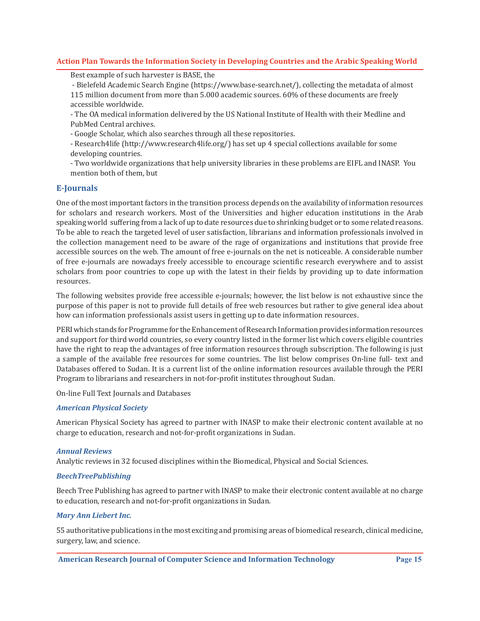Best example of such harvester is BASE, the

- Bielefeld Academic Search Engine (https://www.base-search.net/), collecting the metadata of almost 115 million document from more than 5.000 academic sources. 60% of these documents are freely accessible worldwide.

- The OA medical information delivered by the US National Institute of Health with their Medline and PubMed Central archives.

- Google Scholar, which also searches through all these repositories.

- Research4life (http://www.research4life.org/) has set up 4 special collections available for some developing countries.

- Two worldwide organizations that help university libraries in these problems are EIFL and INASP. You mention both of them, but

## **E-Journals**

One of the most important factors in the transition process depends on the availability of information resources for scholars and research workers. Most of the Universities and higher education institutions in the Arab speaking world suffering from a lack of up to date resources due to shrinking budget or to some related reasons. To be able to reach the targeted level of user satisfaction, librarians and information professionals involved in the collection management need to be aware of the rage of organizations and institutions that provide free accessible sources on the web. The amount of free e-journals on the net is noticeable. A considerable number of free e-journals are nowadays freely accessible to encourage scientific research everywhere and to assist scholars from poor countries to cope up with the latest in their fields by providing up to date information resources.

The following websites provide free accessible e-journals; however, the list below is not exhaustive since the purpose of this paper is not to provide full details of free web resources but rather to give general idea about how can information professionals assist users in getting up to date information resources.

PERI which stands for Programme for the Enhancement of Research Information provides information resources and support for third world countries, so every country listed in the former list which covers eligible countries have the right to reap the advantages of free information resources through subscription. The following is just a sample of the available free resources for some countries. The list below comprises On-line full- text and Databases offered to Sudan. It is a current list of the online information resources available through the PERI Program to librarians and researchers in not-for-profit institutes throughout Sudan.

On-line Full Text Journals and Databases

#### *American Physical Society*

American Physical Society has agreed to partner with INASP to make their electronic content available at no charge to education, research and not-for-profit organizations in Sudan.

#### *Annual Reviews*

Analytic reviews in 32 focused disciplines within the Biomedical, Physical and Social Sciences.

#### *BeechTreePublishing*

Beech Tree Publishing has agreed to partner with INASP to make their electronic content available at no charge to education, research and not-for-profit organizations in Sudan.

#### *Mary Ann Liebert Inc.*

55 authoritative publications in the most exciting and promising areas of biomedical research, clinical medicine, surgery, law, and science.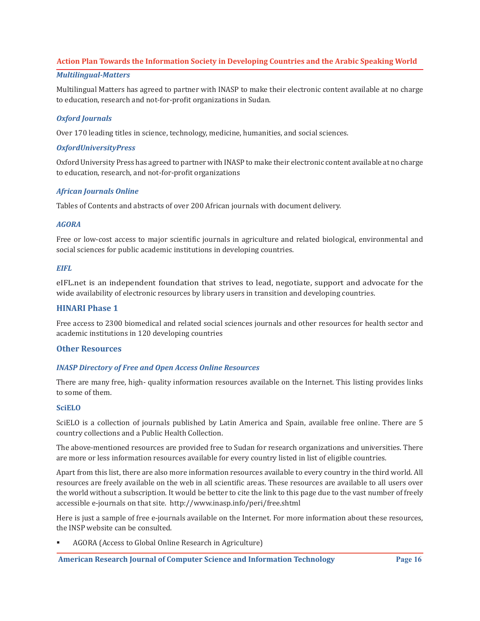#### *Multilingual-Matters*

Multilingual Matters has agreed to partner with INASP to make their electronic content available at no charge to education, research and not-for-profit organizations in Sudan.

## *Oxford Journals*

Over 170 leading titles in science, technology, medicine, humanities, and social sciences.

#### *OxfordUniversityPress*

Oxford University Press has agreed to partner with INASP to make their electronic content available at no charge to education, research, and not-for-profit organizations

## *African Journals Online*

Tables of Contents and abstracts of over 200 African journals with document delivery.

## *AGORA*

Free or low-cost access to major scientific journals in agriculture and related biological, environmental and social sciences for public academic institutions in developing countries.

#### *EIFL*

eIFL.net is an independent foundation that strives to lead, negotiate, support and advocate for the wide availability of electronic resources by library users in transition and developing countries.

## **HINARI Phase 1**

Free access to 2300 biomedical and related social sciences journals and other resources for health sector and academic institutions in 120 developing countries

## **Other Resources**

#### *INASP Directory of Free and Open Access Online Resources*

There are many free, high- quality information resources available on the Internet. This listing provides links to some of them.

#### **SciELO**

SciELO is a collection of journals published by Latin America and Spain, available free online. There are 5 country collections and a Public Health Collection.

The above-mentioned resources are provided free to Sudan for research organizations and universities. There are more or less information resources available for every country listed in list of eligible countries.

Apart from this list, there are also more information resources available to every country in the third world. All resources are freely available on the web in all scientific areas. These resources are available to all users over the world without a subscription. It would be better to cite the link to this page due to the vast number of freely accessible e-journals on that site. http://www.inasp.info/peri/free.shtml

Here is just a sample of free e-journals available on the Internet. For more information about these resources, the INSP website can be consulted.

 AGORA (Access to Global Online Research in Agriculture)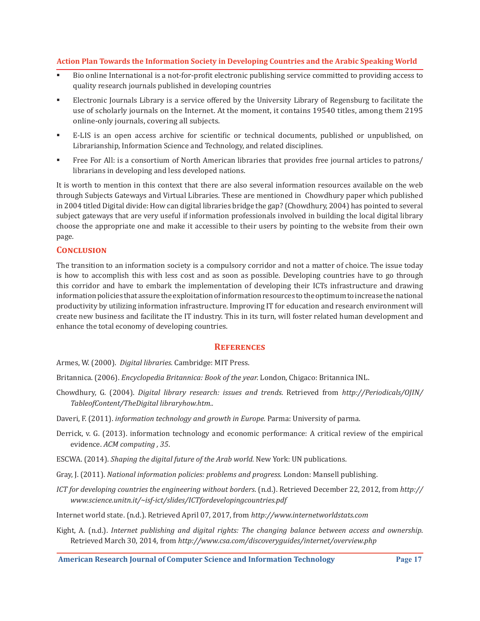- Bio online International is a not-for-profit electronic publishing service committed to providing access to quality research journals published in developing countries
- Electronic Journals Library is a service offered by the University Library of Regensburg to facilitate the use of scholarly journals on the Internet. At the moment, it contains 19540 titles, among them 2195 online-only journals, covering all subjects.
- E-LIS is an open access archive for scientific or technical documents, published or unpublished, on Librarianship, Information Science and Technology, and related disciplines.
- Free For All: is a consortium of North American libraries that provides free journal articles to patrons/ librarians in developing and less developed nations.

It is worth to mention in this context that there are also several information resources available on the web through Subjects Gateways and Virtual Libraries. These are mentioned in Chowdhury paper which published in 2004 titled Digital divide: How can digital libraries bridge the gap? (Chowdhury, 2004) has pointed to several subject gateways that are very useful if information professionals involved in building the local digital library choose the appropriate one and make it accessible to their users by pointing to the website from their own page.

## **Conclusion**

The transition to an information society is a compulsory corridor and not a matter of choice. The issue today is how to accomplish this with less cost and as soon as possible. Developing countries have to go through this corridor and have to embark the implementation of developing their ICTs infrastructure and drawing information policies that assure the exploitation of information resources to the optimum to increase the national productivity by utilizing information infrastructure. Improving IT for education and research environment will create new business and facilitate the IT industry. This in its turn, will foster related human development and enhance the total economy of developing countries.

#### **References**

- Armes, W. (2000). *Digital libraries.* Cambridge: MIT Press.
- Britannica. (2006). *Encyclopedia Britannica: Book of the year.* London, Chigaco: Britannica INL.
- Chowdhury, G. (2004). *Digital library research: issues and trends*. Retrieved from *http://Periodicals/OJIN/ TableofContent/TheDigital libraryhow.htm..*
- Daveri, F. (2011). *information technology and growth in Europe.* Parma: University of parma.
- Derrick, v. G. (2013). information technology and economic performance: A critical review of the empirical evidence. *ACM computing , 35*.
- ESCWA. (2014). *Shaping the digital future of the Arab world.* New York: UN publications.
- Gray, J. (2011). *National information policies: problems and progress.* London: Mansell publishing.
- *ICT for developing countries the engineering without borders*. (n.d.). Retrieved December 22, 2012, from *http:// www.science.unitn.it/~isf-ict/slides/ICTfordevelopingcountries.pdf*
- Internet world state. (n.d.). Retrieved April 07, 2017, from *http://www.internetworldstats.com*
- Kight, A. (n.d.). *Internet publishing and digital rights: The changing balance between access and ownership*. Retrieved March 30, 2014, from *http://www.csa.com/discoveryguides/internet/overview.php*